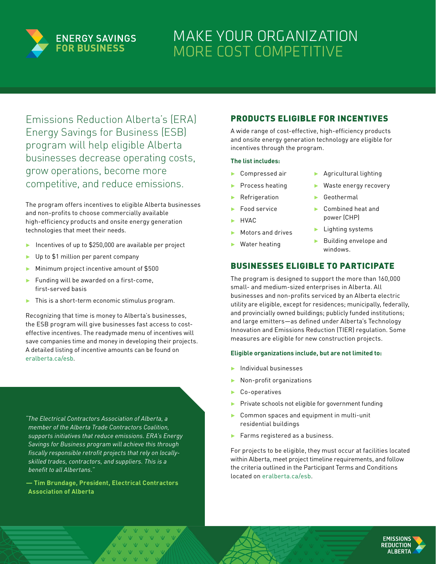

# MAKE YOUR ORGANIZATION MORE COST COMPETITIVE

Emissions Reduction Alberta's (ERA) Energy Savings for Business (ESB) program will help eligible Alberta businesses decrease operating costs, grow operations, become more competitive, and reduce emissions.

The program offers incentives to eligible Alberta businesses and non-profits to choose commercially available high-efficiency products and onsite energy generation technologies that meet their needs.

- ▶ Incentives of up to \$250,000 are available per project
- ▶ Up to \$1 million per parent company
- ˲ Minimum project incentive amount of \$500
- $\blacktriangleright$  Funding will be awarded on a first-come, first-served basis
- $\blacktriangleright$  This is a short-term economic stimulus program.

Recognizing that time is money to Alberta's businesses, the ESB program will give businesses fast access to costeffective incentives. The readymade menu of incentives will save companies time and money in developing their projects. A detailed listing of incentive amounts can be found on eralberta.ca/esh

*"The Electrical Contractors Association of Alberta, a member of the Alberta Trade Contractors Coalition, supports initiatives that reduce emissions. ERA's Energy Savings for Business program will achieve this through fiscally responsible retrofit projects that rely on locallyskilled trades, contractors, and suppliers. This is a benefit to all Albertans."*

**— Tim Brundage, President, Electrical Contractors Association of Alberta**

### PRODUCTS ELIGIBLE FOR INCENTIVES

A wide range of cost-effective, high-efficiency products and onsite energy generation technology are eligible for incentives through the program.

#### **The list includes:**

- ˲ Compressed air
- ˲ Process heating
- **Refrigeration**
- ˲ Food service
- HVAC.
- ˲ Motors and drives
- ˲ Water heating
- ˲ Agricultural lighting
- Waste energy recovery
- ˲ Geothermal
- ˲ Combined heat and power (CHP)
- **Example 1** Lighting systems
- ˲ Building envelope and windows.

### BUSINESSES ELIGIBLE TO PARTICIPATE

The program is designed to support the more than 160,000 small- and medium-sized enterprises in Alberta. All businesses and non-profits serviced by an Alberta electric utility are eligible, except for residences; municipally, federally, and provincially owned buildings; publicly funded institutions; and large emitters—as defined under Alberta's Technology Innovation and Emissions Reduction (TIER) regulation. Some measures are eligible for new construction projects.

#### **Eligible organizations include, but are not limited to:**

- ˲ Individual businesses
- ˲ Non-profit organizations
- ˲ Co-operatives
- Private schools not eligible for government funding
- ˲ Common spaces and equipment in multi-unit residential buildings
- ˲ Farms registered as a business.

For projects to be eligible, they must occur at facilities located within Alberta, meet project timeline requirements, and follow the criteria outlined in the Participant Terms and Conditions located on [eralberta.ca/esb.](http://eralberta.ca/esb)